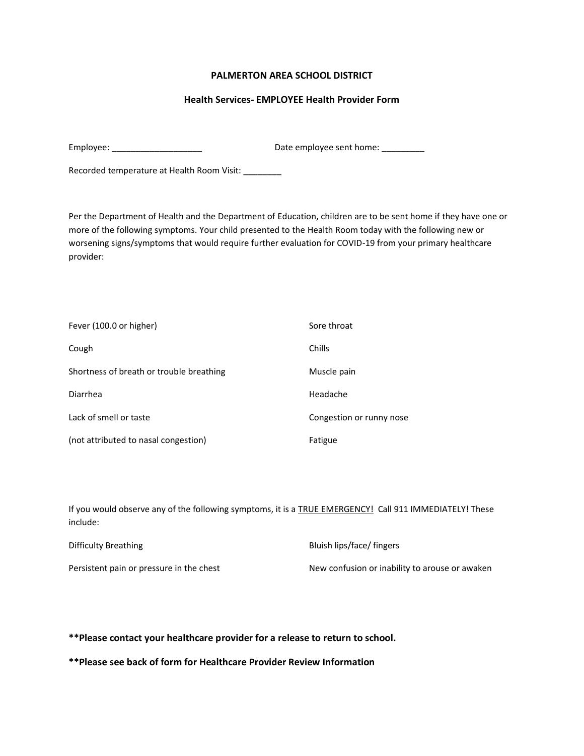## **PALMERTON AREA SCHOOL DISTRICT**

#### **Health Services- EMPLOYEE Health Provider Form**

| Employee: ________________________                  | Date employee sent home: __________                                                                                                                                                                                                                                                                                                   |
|-----------------------------------------------------|---------------------------------------------------------------------------------------------------------------------------------------------------------------------------------------------------------------------------------------------------------------------------------------------------------------------------------------|
| Recorded temperature at Health Room Visit: ________ |                                                                                                                                                                                                                                                                                                                                       |
| provider:                                           | Per the Department of Health and the Department of Education, children are to be sent home if they have one or<br>more of the following symptoms. Your child presented to the Health Room today with the following new or<br>worsening signs/symptoms that would require further evaluation for COVID-19 from your primary healthcare |
| Fever (100.0 or higher)                             | Sore throat                                                                                                                                                                                                                                                                                                                           |
| Cough                                               | Chills                                                                                                                                                                                                                                                                                                                                |
|                                                     |                                                                                                                                                                                                                                                                                                                                       |

| Shortness of breath or trouble breathing | Muscle pain              |
|------------------------------------------|--------------------------|
| Diarrhea                                 | Headache                 |
| Lack of smell or taste                   | Congestion or runny nose |
| (not attributed to nasal congestion)     | Fatigue                  |

If you would observe any of the following symptoms, it is a **TRUE EMERGENCY!** Call 911 IMMEDIATELY! These include:

| Difficulty Breathing                     | Bluish lips/face/ fingers                      |
|------------------------------------------|------------------------------------------------|
| Persistent pain or pressure in the chest | New confusion or inability to arouse or awaken |

# **\*\*Please contact your healthcare provider for a release to return to school.**

**\*\*Please see back of form for Healthcare Provider Review Information**